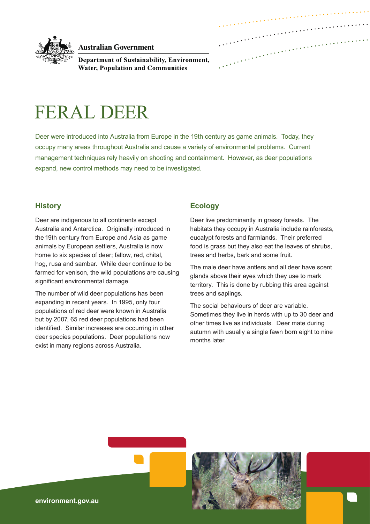

**Australian Government** 

Department of Sustainability, Environment, **Water, Population and Communities** 

# FERAL DEER

Deer were introduced into Australia from Europe in the 19th century as game animals. Today, they occupy many areas throughout Australia and cause a variety of environmental problems. Current management techniques rely heavily on shooting and containment. However, as deer populations expand, new control methods may need to be investigated.

## **History**

Deer are indigenous to all continents except Australia and Antarctica. Originally introduced in the 19th century from Europe and Asia as game animals by European settlers, Australia is now home to six species of deer; fallow, red, chital, hog, rusa and sambar. While deer continue to be farmed for venison, the wild populations are causing significant environmental damage.

The number of wild deer populations has been expanding in recent years. In 1995, only four populations of red deer were known in Australia but by 2007, 65 red deer populations had been identified. Similar increases are occurring in other deer species populations. Deer populations now exist in many regions across Australia.

## **Ecology**

Deer live predominantly in grassy forests. The habitats they occupy in Australia include rainforests, eucalypt forests and farmlands. Their preferred food is grass but they also eat the leaves of shrubs, trees and herbs, bark and some fruit.

The male deer have antlers and all deer have scent glands above their eyes which they use to mark territory. This is done by rubbing this area against trees and saplings.

The social behaviours of deer are variable. Sometimes they live in herds with up to 30 deer and other times live as individuals. Deer mate during autumn with usually a single fawn born eight to nine months later.

**environment.gov.au**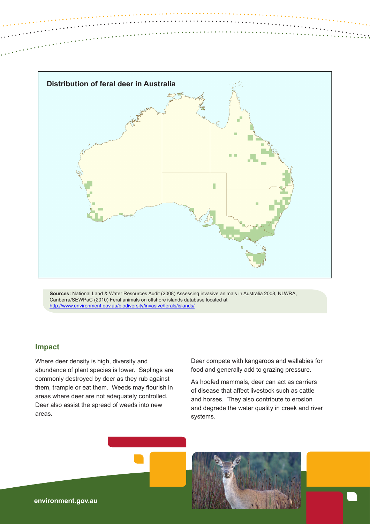

**Sources:** National Land & Water Resources Audit (2008) Assessing invasive animals in Australia 2008, NLWRA, Canberra/SEWPaC (2010) Feral animals on offshore islands database located at <http://www.environment.gov.au/biodiversity/invasive/ferals/islands/>

# **Impact**

Where deer density is high, diversity and abundance of plant species is lower. Saplings are commonly destroyed by deer as they rub against them, trample or eat them. Weeds may flourish in areas where deer are not adequately controlled. Deer also assist the spread of weeds into new areas.

Deer compete with kangaroos and wallabies for food and generally add to grazing pressure.

As hoofed mammals, deer can act as carriers of disease that affect livestock such as cattle and horses. They also contribute to erosion and degrade the water quality in creek and river systems.